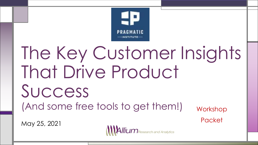

# The Key Customer Insights That Drive Product Success (And some free tools to get them!) Workshop

May 25, 2021



**Packet**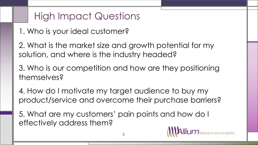# High Impact Questions

- 1. Who is your ideal customer?
- 2. What is the market size and growth potential for my solution, and where is the industry headed?
- 3. Who is our competition and how are they positioning themselves?
- 4. How do I motivate my target audience to buy my product/service and overcome their purchase barriers?
- 5. What are my customers' pain points and how do I effectively address them?

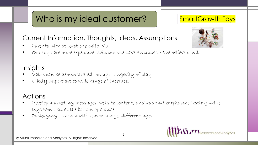# Who is my ideal customer?

### SmartGrowth Toys

### Current Information, Thoughts, Ideas, Assumptions

Parents with at least one child  $\leq$ 3.



• Our toys are more expensive…will income have an impact? We believe it will!

### **Insights**

- Value can be demonstrated through longevity of play
- Likely important to wide range of incomes.

### Actions

- Develop marketing messages, website content, and ads that emphasize lasting value, toys won't sit at the bottom of a closet.
- Packaging show multi-season usage, different ages

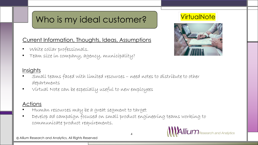# Who is my ideal customer?

### Current Information, Thoughts, Ideas, Assumptions

- White collar professionals.
- Team size in company, agency, municipality?

## **VirtualNote**



### Insights

- Small teams faced with limited resources need notes to distribute to other departments
- Virtual Note can be especially useful to new employees

### **Actions**

- Human resources may be a great segment to target
- Develop ad campaign focused on small product engineering teams working to communicate product requirements.



4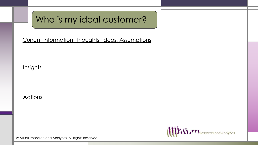# Who is my ideal customer?

Current Information, Thoughts, Ideas, Assumptions

#### **Insights**

#### **Actions**

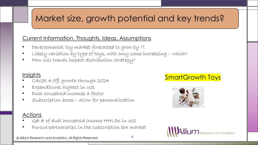# Market size, growth potential and key trends?

### Current Information, Thoughts, Ideas, Assumptions

- Developmental toy market forecasted to grow by ??.
- Likely variation by type of toys, with only some increasing which?
- How will trends impact distribution strategy?

### Insights

- CAGR 4.5% growth through 2024
- Expenditures highest in US
- Dual household incomes a factor
- Subscription boxes allow for personalization

### Actions

- $G$ et  $\#$  of dual household income  $HHLDS$  in US
- Pursue partnerships in the subscription box market

© Allium Research and Analytics, All Rights Reserved

## SmartGrowth Toys



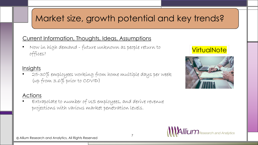# Market size, growth potential and key trends?

### Current Information, Thoughts, Ideas, Assumptions

• Now in high demand - future unknown as people return to offices?

### **Insights**

• 25-30% employees working from home multiple days per week (up from 3.6% prior to COVID)

### Actions

• Extrapolate to number of US employees, and derive revenue projections with various market penetration levels.

### **VirtualNote**



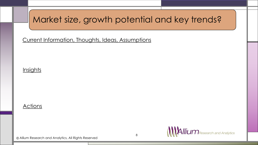# Market size, growth potential and key trends?

Current Information, Thoughts, Ideas, Assumptions

### **Insights**

#### **Actions**

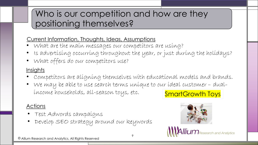# Who is our competition and how are they positioning themselves?

### Current Information, Thoughts, Ideas, Assumptions

- What are the main messages our competitors are using?
- Is advertising occurring throughout the year, or just during the holidays?
- What offers do our competitors use?

### **Insights**

- Competitors are aligning themselves with educational models and brands.
- We may be able to use search terms unique to our ideal customer dualincome households, all-season toys, etc. SmartGrowth Toys

### Actions

- Test Adwords campaigns
- Develop SEO strategy around our keywords



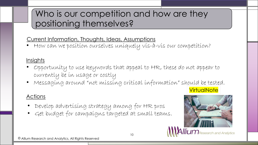# Who is our competition and how are they positioning themselves?

### Current Information, Thoughts, Ideas, Assumptions

• How can we position ourselves uniquely vis-à-vis our competition?

### **Insights**

- Opportunity to use keywords that appeal to HR, these do not appear to currently be in usage or costly
- Messaging around "not missing critical information" should be tested.

### Actions

- Develop advertising strategy among for HR pros
- Get budget for campaigns targeted at small teams.

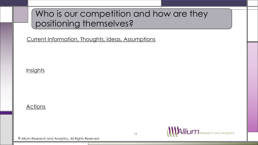# Who is our competition and how are they positioning themselves?

Current Information, Thoughts, Ideas, Assumptions

### **Insights**

#### **Actions**

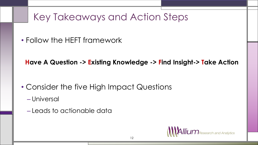# Key Takeaways and Action Steps

• Follow the HEFT framework

**Have A Question -> Existing Knowledge -> Find Insight-> Take Action**

- Consider the five High Impact Questions
	- Universal
	- Leads to actionable data

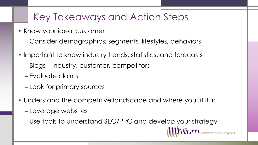# Key Takeaways and Action Steps

- Know your ideal customer
	- Consider demographics; segments, lifestyles, behaviors
- Important to know industry trends, statistics, and forecasts
	- Blogs industry, customer, competitors
	- Evaluate claims
	- Look for primary sources
- Understand the competitive landscape and where you fit it in
	- Leverage websites
	- Use tools to understand SEO/PPC and develop your strategy

Research and Analytics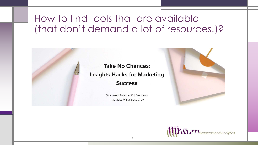# How to find tools that are available (that don't demand a lot of resources!)?



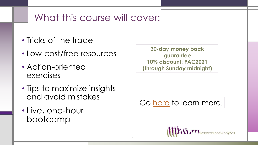# What this course will cover:

- Tricks of the trade
- Low-cost/free resources
- Action-oriented exercises
- Tips to maximize insights and avoid mistakes
- Live, one-hour bootcamp

**30-day money back guarantee 10% discount: PAC2021 (through Sunday midnight)**

Go [here](https://alliumresearch.teachable.com/p/take-no-chances-hacks-for-marketing-success) to learn more: